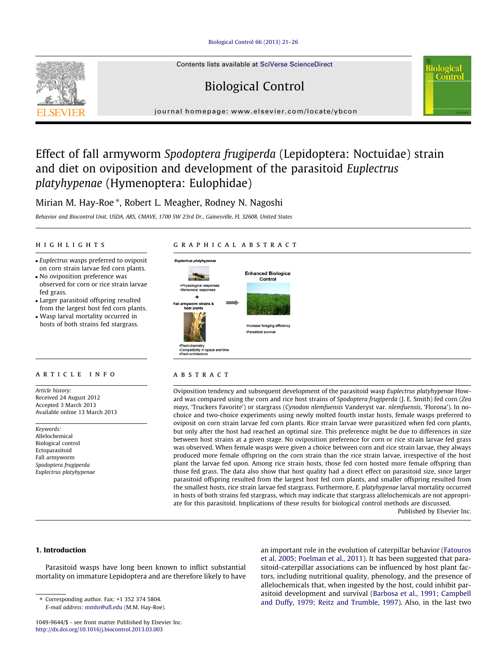# [Biological Control 66 \(2013\) 21–26](http://dx.doi.org/10.1016/j.biocontrol.2013.03.003)



Contents lists available at SciVerse ScienceDirect

# Biological Control

journal homepage: [www.elsevier.com/locate/ybcon](http://www.elsevier.com/locate/ybcon)

# Effect of fall armyworm Spodoptera frugiperda (Lepidoptera: Noctuidae) strain and diet on oviposition and development of the parasitoid Euplectrus platyhypenae (Hymenoptera: Eulophidae)

Mirian M. Hay-Roe\*, Robert L. Meagher, Rodney N. Nagoshi

Behavior and Biocontrol Unit, USDA, ARS, CMAVE, 1700 SW 23rd Dr., Gainesville, FL 32608, United States

# highlights

# graphical abstract

- Euplectrus wasps preferred to oviposit on corn strain larvae fed corn plants.
- No oviposition preference was observed for corn or rice strain larvae fed grass.
- Larger parasitoid offspring resulted from the largest host fed corn plants.
- Wasp larval mortality occurred in hosts of both strains fed stargrass.

#### article info

Article history: Received 24 August 2012 Accepted 3 March 2013 Available online 13 March 2013

Keywords: Allelochemical Biological control Ectoparasitoid Fall armyworm Spodoptera frugiperda Euplectrus platyhypenae



# **ABSTRACT**

Oviposition tendency and subsequent development of the parasitoid wasp Euplectrus platyhypenae Howard was compared using the corn and rice host strains of Spodoptera frugiperda (J. E. Smith) fed corn (Zea mays, 'Truckers Favorite') or stargrass (Cynodon nlemfuensis Vanderyst var. nlemfuensis, 'Florona'). In nochoice and two-choice experiments using newly molted fourth instar hosts, female wasps preferred to oviposit on corn strain larvae fed corn plants. Rice strain larvae were parasitized when fed corn plants, but only after the host had reached an optimal size. This preference might be due to differences in size between host strains at a given stage. No oviposition preference for corn or rice strain larvae fed grass was observed. When female wasps were given a choice between corn and rice strain larvae, they always produced more female offspring on the corn strain than the rice strain larvae, irrespective of the host plant the larvae fed upon. Among rice strain hosts, those fed corn hosted more female offspring than those fed grass. The data also show that host quality had a direct effect on parasitoid size, since larger parasitoid offspring resulted from the largest host fed corn plants, and smaller offspring resulted from the smallest hosts, rice strain larvae fed stargrass. Furthermore, E. platyhypenae larval mortality occurred in hosts of both strains fed stargrass, which may indicate that stargrass allelochemicals are not appropriate for this parasitoid. Implications of these results for biological control methods are discussed.

Published by Elsevier Inc.

**Control** 

# 1. Introduction

Parasitoid wasps have long been known to inflict substantial mortality on immature Lepidoptera and are therefore likely to have

⇑ Corresponding author. Fax: +1 352 374 5804. E-mail address: [mmhr@ufl.edu](mailto:mmhr@ufl.edu) (M.M. Hay-Roe).

1049-9644/\$ - see front matter Published by Elsevier Inc. <http://dx.doi.org/10.1016/j.biocontrol.2013.03.003>

an important role in the evolution of caterpillar behavior ([Fatouros](#page-5-0) [et al. 2005; Poelman et al., 2011](#page-5-0) ). It has been suggested that parasitoid-caterpillar associations can be influenced by host plant factors, including nutritional quality, phenology, and the presence of allelochemicals that, when ingested by the host, could inhibit parasitoid development and survival (Barbosa et al., 1991; Campbell [and Duffy, 1979; Reitz and Trumble, 1997 \)](#page-5-0). Also, in the last two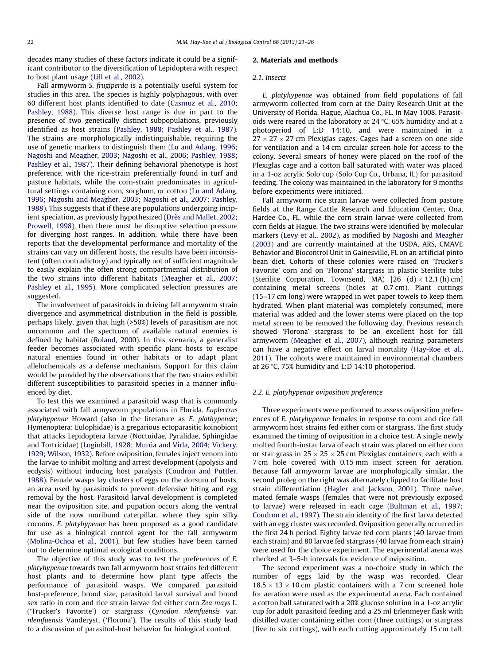decades many studies of these factors indicate it could be a significant contributor to the diversification of Lepidoptera with respect to host plant usage [\(Lill et al., 2002 \)](#page-5-0).

Fall armyworm S. frugiperda is a potentially useful system for studies in this area. The species is highly polyphagous, with over 60 different host plants identified to date ([Casmuz et al., 2010;](#page-5-0) [Pashley, 1988](#page-5-0)). This diverse host range is due in part to the presence of two genetically distinct subpopulations, previously identified as host strains (Pashley, 1988; Pashley et al., 1987). The strains are morphologically indistinguishable, requiring the use of genetic markers to distinguish them [\(Lu and Adang, 1996;](#page-5-0) Nagoshi and Meagher, 2003; Nagoshi et al., 2006; Pashley, 1988; [Pashley et al., 1987](#page-5-0)). Their defining behavioral phenotype is host preference, with the rice-strain preferentially found in turf and pasture habitats, while the corn-strain predominates in agricultural settings containing corn, sorghum, or cotton [\(Lu and Adang,](#page-5-0) [1996; Nagoshi and Meagher, 2003; Nagoshi et al., 2007; Pashley,](#page-5-0) [1988\)](#page-5-0). This suggests that if these are populations undergoing incipient speciation, as previously hypothesized ([Drès and Mallet, 2002;](#page-5-0) Prowell, 1998), then there must be disruptive selection pressure for diverging host ranges. In addition, while there have been reports that the developmental performance and mortality of the strains can vary on different hosts, the results have been inconsistent (often contradictory) and typically not of sufficient magnitude to easily explain the often strong compartmental distribution of the two strains into different habitats [\(Meagher et al., 2007;](#page-5-0) Pashley et al., 1995). More complicated selection pressures are suggested.

The involvement of parasitoids in driving fall armyworm strain divergence and asymmetrical distribution in the field is possible, perhaps likely, given that high (>50%) levels of parasitism are not uncommon and the spectrum of available natural enemies is defined by habitat (Roland, 2000). In this scenario, a generalist feeder becomes associated with specific plant hosts to escape natural enemies found in other habitats or to adapt plant allelochemicals as a defense mechanism. Support for this claim would be provided by the observations that the two strains exhibit different susceptibilities to parasitoid species in a manner influenced by diet.

To test this we examined a parasitoid wasp that is commonly associated with fall armyworm populations in Florida. Euplectrus platyhypenae Howard (also in the literature as E. plathypenae; Hymenoptera: Eulophidae) is a gregarious ectoparasitic koinobiont that attacks Lepidoptera larvae (Noctuidae, Pyralidae, Sphingidae and Tortricidae) [\(Luginbill, 1928; Murúa and Virla, 2004; Vickery,](#page-5-0) [1929; Wilson, 1932 \)](#page-5-0). Before oviposition, females inject venom into the larvae to inhibit molting and arrest development (apolysis and ecdysis) without inducing host paralysis [\(Coudron and Puttler,](#page-5-0) [1988\)](#page-5-0). Female wasps lay clusters of eggs on the dorsum of hosts, an area used by parasitoids to prevent defensive biting and egg removal by the host. Parasitoid larval development is completed near the oviposition site, and pupation occurs along the ventral side of the now moribund caterpillar, where they spin silky cocoons. E. platyhypenae has been proposed as a good candidate for use as a biological control agent for the fall armyworm (Molina-Ochoa et al., 2001), but few studies have been carried out to determine optimal ecological conditions.

The objective of this study was to test the preferences of E. platyhypenae towards two fall armyworm host strains fed different host plants and to determine how plant type affects the performance of parasitoid wasps. We compared parasitoid host-preference, brood size, parasitoid larval survival and brood sex ratio in corn and rice strain larvae fed either corn Zea mays L. ('Trucker's Favorite') or stargrass (Cynodon nlemfuensis var. nlemfuensis Vanderyst, ('Florona'). The results of this study lead to a discussion of parasitod-host behavior for biological control.

# 2. Materials and methods

## 2.1. Insects

E. platyhypenae was obtained from field populations of fall armyworm collected from corn at the Dairy Research Unit at the University of Florida, Hague, Alachua Co., FL. In May 1008. Parasitoids were reared in the laboratory at 24  $\degree$ C, 65% humidity and at a photoperiod of L:D 14:10, and were maintained in a  $27 \times 27 \times 27$  cm Plexiglas cages. Cages had a screen on one side for ventilation and a 14 cm circular screen hole for access to the colony. Several smears of honey were placed on the roof of the Plexiglas cage and a cotton ball saturated with water was placed in a 1-oz acrylic Solo cup (Solo Cup Co., Urbana, IL) for parasitoid feeding. The colony was maintained in the laboratory for 9 months before experiments were initiated.

Fall armyworm rice strain larvae were collected from pasture fields at the Range Cattle Research and Education Center, Ona, Hardee Co., FL, while the corn strain larvae were collected from corn fields at Hague. The two strains were identified by molecular markers ([Levy et al., 2002 \)](#page-5-0), as modified by [Nagoshi and Meagher](#page-5-0)  [\(2003\)](#page-5-0) and are currently maintained at the USDA, ARS, CMAVE Behavior and Biocontrol Unit in Gainesville, FL on an artificial pinto bean diet. Cohorts of these colonies were raised on 'Trucker's Favorite' corn and on 'Florona' stargrass in plastic Sterilite tubs (Sterilite Corporation, Townsend, MA)  $[26 (d) \times 12.1 (h)$  cm] containing metal screens (holes at 0.7 cm). Plant cuttings (15–17 cm long) were wrapped in wet paper towels to keep them hydrated. When plant material was completely consumed, more material was added and the lower stems were placed on the top metal screen to be removed the following day. Previous research showed 'Florona' stargrass to be an excellent host for fall armyworm ([Meagher et al., 2007 \)](#page-5-0), although rearing parameters can have a negative effect on larval mortality [\(Hay-Roe et al.,](#page-5-0) [2011\)](#page-5-0). The cohorts were maintained in environmental chambers at 26  $\degree$ C, 75% humidity and L:D 14:10 photoperiod.

## 2.2. E. platyhypenae oviposition preference

Three experiments were performed to assess oviposition preferences of E. platyhypenae females in response to corn and rice fall armyworm host strains fed either corn or stargrass. The first study examined the timing of oviposition in a choice test. A single newly molted fourth-instar larva of each strain was placed on either corn or star grass in  $25 \times 25 \times 25$  cm Plexiglas containers, each with a 7 cm hole covered with 0.15 mm insect screen for aeration. Because fall armyworm larvae are morphologically similar, the second proleg on the right was alternately clipped to facilitate host strain differentiation ([Hagler and Jackson, 2001](#page-5-0) ). Three naïve, mated female wasps (females that were not previously exposed to larvae) were released in each cage ([Bultman et al., 1997;](#page-5-0) Coudron et al., 1997). The strain identity of the first larva detected with an egg cluster was recorded. Oviposition generally occurred in the first 24 h period. Eighty larvae fed corn plants (40 larvae from each strain) and 80 larvae fed stargrass (40 larvae from each strain) were used for the choice experiment. The experimental arena was checked at 3-5-h intervals for evidence of oviposition.

The second experiment was a no-choice study in which the number of eggs laid by the wasp was recorded. Clear  $18.5 \times 13 \times 10$  cm plastic containers with a 7 cm screened hole for aeration were used as the experimental arena. Each contained a cotton ball saturated with a 20% glucose solution in a 1-oz acrylic cup for adult parasitoid feeding and a 25 ml Erlenmeyer flask with distilled water containing either corn (three cuttings) or stargrass (five to six cuttings), with each cutting approximately 15 cm tall.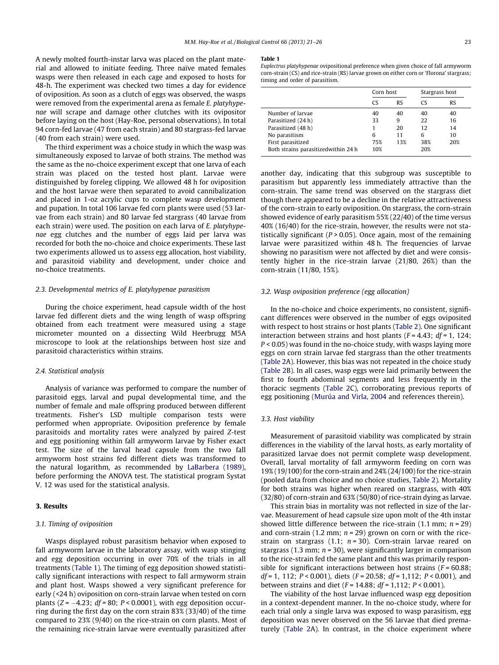<span id="page-2-0"></span>A newly molted fourth-instar larva was placed on the plant material and allowed to initiate feeding. Three naïve mated females wasps were then released in each cage and exposed to hosts for 48-h. The experiment was checked two times a day for evidence of oviposition. As soon as a clutch of eggs was observed, the wasps were removed from the experimental arena as female E. platyhypenae will scrape and damage other clutches with its ovipositor before laying on the host (Hay-Roe, personal observations). In total 94 corn-fed larvae (47 from each strain) and 80 stargrass -fed larvae (40 from each strain) were used.

The third experiment was a choice study in which the wasp was simultaneously exposed to larvae of both strains. The method was the same as the no-choice experiment except that one larva of each strain was placed on the tested host plant. Larvae were distinguished by foreleg clipping. We allowed 48 h for oviposition and the host larvae were then separated to avoid cannibalization and placed in 1-oz acrylic cups to complete wasp development and pupation. In total 106 larvae fed corn plants were used (53 larvae from each strain) and 80 larvae fed stargrass (40 larvae from each strain) were used. The position on each larva of E. platyhypenae egg clutches and the number of eggs laid per larva was recorded for both the no-choice and choice experiments. These last two experiments allowed us to assess egg allocation, host viability, and parasitoid viability and development, under choice and no-choice treatments.

#### 2.3. Developmental metrics of E. platyhypenae parasitism

During the choice experiment, head capsule width of the host larvae fed different diets and the wing length of wasp offspring obtained from each treatment were measured using a stage micrometer mounted on a dissecting Wild Heerbrugg M5A microscope to look at the relationships between host size and parasitoid characteristics within strains.

### 2.4. Statistical analysis

Analysis of variance was performed to compare the number of parasitoid eggs, larval and pupal developmental time, and the number of female and male offspring produced between different treatments. Fisher's LSD multiple comparison tests were performed when appropriate. Oviposition preference by female parasitoids and mortality rates were analyzed by paired Z-test and egg positioning within fall armyworm larvae by Fisher exact test. The size of the larval head capsule from the two fall armyworm host strains fed different diets was transformed to the natural logarithm, as recommended by [LaBarbera \(1989\),](#page-5-0) before performing the ANOVA test. The statistical program Systat V. 12 was used for the statistical analysis.

# 3. Results

## 3.1. Timing of oviposition

Wasps displayed robust parasitism behavior when exposed to fall armyworm larvae in the laboratory assay, with wasp stinging and egg deposition occurring in over 70% of the trials in all treatments (Table 1). The timing of egg deposition showed statistically significant interactions with respect to fall armyworm strain and plant host. Wasps showed a very significant preference for early  $(24 h)$  oviposition on corn-strain larvae when tested on corn plants ( $Z = -4.23$ ;  $df = 80$ ;  $P < 0.0001$ ), with egg deposition occurring during the first day on the corn strain 83% (33/40) of the time compared to 23% (9/40) on the rice-strain on corn plants. Most of the remaining rice-strain larvae were eventually parasitized after

#### Table 1

Euplectrus platyhypenae ovipositional preference when given choice of fall armyworm corn-strain (CS) and rice-strain (RS) larvae grown on either corn or 'Florona' stargrass; timing and order of parasitism.

|                                     | Corn host |           | Stargrass host |           |
|-------------------------------------|-----------|-----------|----------------|-----------|
|                                     | CS        | <b>RS</b> | <b>CS</b>      | <b>RS</b> |
| Number of larvae                    | 40        | 40        | 40             | 40        |
| Parasitized (24 h)                  | 33        | 9         | 22             | 16        |
| Parasitized (48 h)                  | 1         | 20        | 12             | 14        |
| No parasitism                       | 6         | 11        | 6              | 10        |
| First parasitized                   | 75%       | 13%       | 38%            | 20%       |
| Both strains parasitizedwithin 24 h | 10%       |           | 20%            |           |

another day, indicating that this subgroup was susceptible to parasitism but apparently less immediately attractive than the corn-strain. The same trend was observed on the stargrass diet though there appeared to be a decline in the relative attractiveness of the corn-strain to early oviposition. On stargrass, the corn-strain showed evidence of early parasitism 55% (22/40) of the time versus 40% (16/40) for the rice-strain, however, the results were not statistically significant ( $P > 0.05$ ). Once again, most of the remaining larvae were parasitized within 48 h. The frequencies of larvae showing no parasitism were not affected by diet and were consistently higher in the rice-strain larvae (21/80, 26%) than the corn-strain (11/80, 15%).

### 3.2. Wasp oviposition preference (egg allocation)

In the no-choice and choice experiments, no consistent, significant differences were observed in the number of eggs oviposited with respect to host strains or host plants [\(Table 2](#page-3-0)). One significant interaction between strains and host plants  $(F = 4.43; df = 1, 124;$  $P < 0.05$ ) was found in the no-choice study, with wasps laying more eggs on corn strain larvae fed stargrass than the other treatments ([Table 2A](#page-3-0)). However, this bias was not repeated in the choice study ([Table 2B](#page-3-0)). In all cases, wasp eggs were laid primarily between the first to fourth abdominal segments and less frequently in the thoracic segments ([Table 2](#page-3-0)C), corroborating previous reports of egg positioning [\(Murúa and Virla, 2004](#page-5-0) and references therein).

# 3.3. Host viability

Measurement of parasitoid viability was complicated by strain differences in the viability of the larval hosts, as early mortality of parasitized larvae does not permit complete wasp development. Overall, larval mortality of fall armyworm feeding on corn was  $19\%$  (19/100) for the corn-strain and 24% (24/100) for the rice-strain (pooled data from choice and no choice studies, [Table 2](#page-3-0)). Mortality for both strains was higher when reared on stargrass, with 40% (32/80) of corn-strain and 63% (50/80) of rice-strain dying as larvae.

This strain bias in mortality was not reflected in size of the larvae. Measurement of head capsule size upon molt of the 4th instar showed little difference between the rice-strain  $(1.1 \text{ mm}; n = 29)$ and corn-strain (1.2 mm;  $n = 29$ ) grown on corn or with the ricestrain on stargrass (1.1;  $n = 30$ ). Corn-strain larvae reared on stargrass (1.3 mm;  $n = 30$ ), were significantly larger in comparison to the rice-strain fed the same plant and this was primarily responsible for significant interactions between host strains  $(F = 60.88)$ ;  $df = 1$ , 112;  $P < 0.001$ ), diets ( $F = 20.58$ ;  $df = 1.112$ ;  $P < 0.001$ ), and between strains and diet ( $F = 14.88$ ;  $df = 1,112$ ;  $P < 0.001$ ).

The viability of the host larvae influenced wasp egg deposition in a context-dependent manner. In the no-choice study, where for each trial only a single larva was exposed to wasp parasitism, egg deposition was never observed on the 56 larvae that died prematurely [\(Table 2A](#page-3-0)). In contrast, in the choice experiment where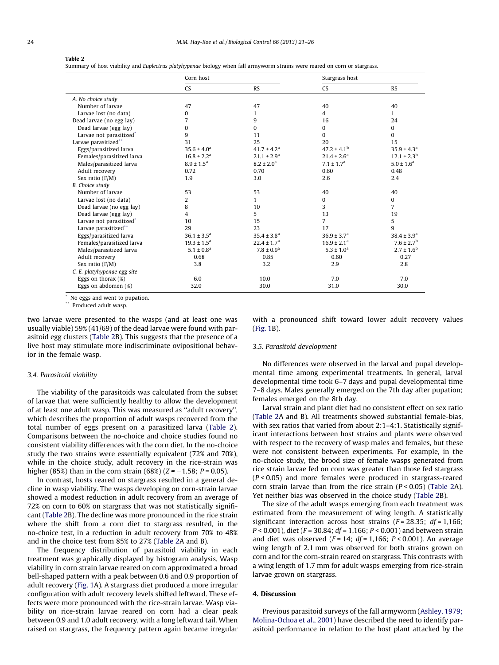#### <span id="page-3-0"></span>Table 2

Summary of host viability and Euplectrus platyhypenae biology when fall armyworm strains were reared on corn or stargrass.

|                                     | Corn host                 |                       | Stargrass host         |                            |  |
|-------------------------------------|---------------------------|-----------------------|------------------------|----------------------------|--|
|                                     | <b>CS</b>                 | <b>RS</b>             | <b>CS</b>              | <b>RS</b>                  |  |
| A. No choice study                  |                           |                       |                        |                            |  |
| Number of larvae                    | 47                        | 47                    | 40                     | 40                         |  |
| Larvae lost (no data)               | $\mathbf{0}$              | 1                     | 4                      | 1                          |  |
| Dead larvae (no egg lay)            | 7                         | 9                     | 16                     | 24                         |  |
| Dead larvae (egg lay)               | 0                         | $\Omega$              | 0                      | $\mathbf{0}$               |  |
| Larvae not parasitized <sup>*</sup> | 9                         | 11                    | $\Omega$               | $\Omega$                   |  |
| Larvae parasitized**                | 31                        | 25                    | 20                     | 15                         |  |
| Eggs/parasitized larva              | $35.6 \pm 4.0^a$          | $41.7 \pm 4.2^a$      | $47.2 \pm 4.1^{\rm b}$ | $35.9 \pm 4.3^a$           |  |
| Females/parasitized larva           | $16.8 \pm 2.2^a$          | $21.1 \pm 2.9^a$      | $21.4 \pm 2.6^a$       | $12.1 \pm 2.3^{\rm b}$     |  |
| Males/parasitized larva             | $8.9 \pm 1.5^a$           | $8.2 \pm 2.0^a$       | $7.1 \pm 1.7^a$        | $5.0 \pm 1.6^a$            |  |
| Adult recovery                      | 0.72                      | 0.70                  | 0.60                   | 0.48                       |  |
| Sex ratio $(F/M)$                   | 1.9                       | 3.0                   | 2.6                    | 2.4                        |  |
| B. Choice study                     |                           |                       |                        |                            |  |
| Number of larvae                    | 53                        | 53                    | 40                     | 40                         |  |
| Larvae lost (no data)               | 2                         | 1                     | 0                      | 0                          |  |
| Dead larvae (no egg lay)            | 8                         | 10                    | 3                      | $\overline{7}$             |  |
| Dead larvae (egg lay)               | 4                         | 5                     | 13                     | 19                         |  |
| Larvae not parasitized <sup>*</sup> | 10                        | 15                    | $\overline{7}$         | 5                          |  |
| Larvae parasitized**                | 29                        | 23                    | 17                     | 9                          |  |
| Eggs/parasitized larva              | $36.1 \pm 3.5^{\text{a}}$ | $35.4 \pm 3.8^a$      | $36.9 \pm 3.7^a$       | $38.4 \pm 3.9^a$           |  |
| Females/parasitized larva           | $19.3 \pm 1.5^a$          | $22.4 \pm 1.7^a$      | $16.9 \pm 2.1^a$       | $7.6 \pm 2.7$ <sup>b</sup> |  |
| Males/parasitized larva             | $5.1 \pm 0.8^a$           | $7.8 \pm 0.9^{\rm a}$ | $5.3 \pm 1.0^a$        | $2.7 \pm 1.6^{\rm b}$      |  |
| Adult recovery                      | 0.68                      | 0.85                  | 0.60                   | 0.27                       |  |
| Sex ratio $(F/M)$                   | 3.8                       | 3.2                   | 2.9                    | 2.8                        |  |
| C. E. platyhypenae egg site         |                           |                       |                        |                            |  |
| Eggs on thorax $(\%)$               | 6.0                       | 10.0                  | 7.0                    | 7.0                        |  |
| Eggs on abdomen (%)                 | 32.0                      | 30.0                  | 31.0                   | 30.0                       |  |

No eggs and went to pupation.

Produced adult wasp.

two larvae were presented to the wasps (and at least one was usually viable) 59% (41/69) of the dead larvae were found with parasitoid egg clusters (Table 2B). This suggests that the presence of a live host may stimulate more indiscriminate ovipositional behavior in the female wasp.

#### 3.4. Parasitoid viability

The viability of the parasitoids was calculated from the subset of larvae that were sufficiently healthy to allow the development of at least one adult wasp. This was measured as ''adult recovery '', which describes the proportion of adult wasps recovered from the total number of eggs present on a parasitized larva (Table 2). Comparisons between the no-choice and choice studies found no consistent viability differences with the corn diet. In the no-choice study the two strains were essentially equivalent (72% and 70%), while in the choice study, adult recovery in the rice-strain was higher (85%) than in the corn strain (68%) ( $Z = -1.58$ ;  $P = 0.05$ ).

In contrast, hosts reared on stargrass resulted in a general decline in wasp viability. The wasps developing on corn-strain larvae showed a modest reduction in adult recovery from an average of 72% on corn to 60% on stargrass that was not statistically significant (Table 2B). The decline was more pronounced in the rice strain where the shift from a corn diet to stargrass resulted, in the no-choice test, in a reduction in adult recovery from 70% to 48% and in the choice test from 85% to 27% (Table 2A and B).

The frequency distribution of parasitoid viability in each treatment was graphically displayed by histogram analysis. Wasp viability in corn strain larvae reared on corn approximated a broad bell-shaped pattern with a peak between 0.6 and 0.9 proportion of adult recovery [\(Fig. 1](#page-4-0)A). A stargrass diet produced a more irregular configuration with adult recovery levels shifted leftward. These effects were more pronounced with the rice-strain larvae. Wasp viability on rice-strain larvae reared on corn had a clear peak between 0.9 and 1.0 adult recovery, with a long leftward tail. When raised on stargrass, the frequency pattern again became irregular

with a pronounced shift toward lower adult recovery values ([Fig. 1B](#page-4-0)).

#### 3.5. Parasitoid development

No differences were observed in the larval and pupal developmental time among experimental treatments. In general, larval developmental time took 6–7 days and pupal developmental time 7–8 days. Males generally emerged on the 7th day after pupation; females emerged on the 8th day.

Larval strain and plant diet had no consistent effect on sex ratio (Table 2A and B). All treatments showed substantial female-bias, with sex ratios that varied from about 2:1-4:1. Statistically significant interactions between host strains and plants were observed with respect to the recovery of wasp males and females, but these were not consistent between experiments. For example, in the no-choice study, the brood size of female wasps generated from rice strain larvae fed on corn was greater than those fed stargrass  $(P < 0.05)$  and more females were produced in stargrass-reared corn strain larvae than from the rice strain  $(P < 0.05)$  (Table 2A). Yet neither bias was observed in the choice study (Table 2B).

The size of the adult wasps emerging from each treatment was estimated from the measurement of wing length. A statistically significant interaction across host strains ( $F = 28.35$ ;  $df = 1,166$ ;  $P < 0.001$ ), diet ( $F = 30.84$ ;  $df = 1,166$ ;  $P < 0.001$ ) and between strain and diet was observed ( $F = 14$ ;  $df = 1,166$ ;  $P < 0.001$ ). An average wing length of 2.1 mm was observed for both strains grown on corn and for the corn-strain reared on stargrass. This contrasts with a wing length of 1.7 mm for adult wasps emerging from rice-strain larvae grown on stargrass.

# 4. Discussion

Previous parasitoid surveys of the fall armyworm ([Ashley, 1979;](#page-5-0) Molina-Ochoa et al., 2001) have described the need to identify parasitoid performance in relation to the host plant attacked by the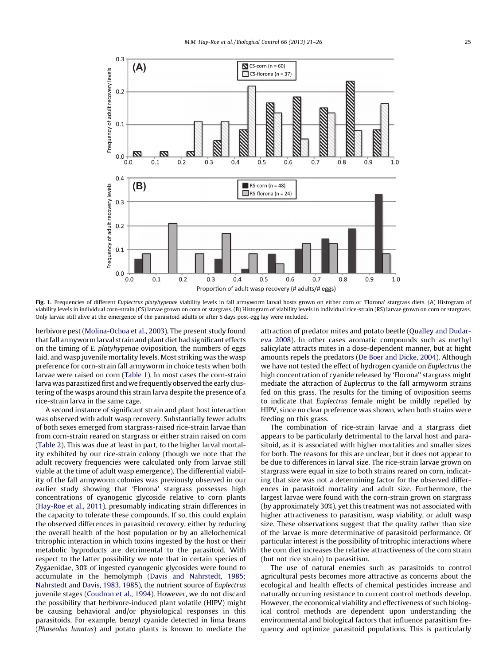<span id="page-4-0"></span>

Fig. 1. Frequencies of different Euplectrus platyhypenae viability levels in fall armyworm larval hosts grown on either corn or 'Florona' stargrass diets. (A) Histogram of viability levels in individual corn-strain (CS) larvae grown on corn or stargrass. (B) Histogram of viability levels in individual rice-strain (RS) larvae grown on corn or stargrass. Only larvae still alive at the emergence of the parasitoid adults or after 5 days post-egg lay were included.

herbivore pest (Molina-Ochoa et al., 2003). The present study found that fall armyworm larval strain and plant diet had significant effects on the timing of E. platyhypenae oviposition, the numbers of eggs laid, and wasp juvenile mortality levels. Most striking was the wasp preference for corn-strain fall armyworm in choice tests when both larvae were raised on corn ([Table 1](#page-2-0)). In most cases the corn-strain larva was parasitized first and we frequently observed the early clustering of the wasps around this strain larva despite the presence of a rice-strain larva in the same cage.

A second instance of significant strain and plant host interaction was observed with adult wasp recovery. Substantially fewer adults of both sexes emerged from stargrass-raised rice-strain larvae than from corn-strain reared on stargrass or either strain raised on corn ([Table 2\)](#page-3-0). This was due at least in part, to the higher larval mortality exhibited by our rice-strain colony (though we note that the adult recovery frequencies were calculated only from larvae still viable at the time of adult wasp emergence). The differential viability of the fall armyworm colonies was previously observed in our earlier study showing that 'Florona' stargrass possesses high concentrations of cyanogenic glycoside relative to corn plants ([Hay-Roe et al., 2011 \)](#page-5-0), presumably indicating strain differences in the capacity to tolerate these compounds. If so, this could explain the observed differences in parasitoid recovery, either by reducing the overall health of the host population or by an allelochemical tritrophic interaction in which toxins ingested by the host or their metabolic byproducts are detrimental to the parasitoid. With respect to the latter possibility we note that in certain species of Zygaenidae, 30% of ingested cyanogenic glycosides were found to accumulate in the hemolymph [\(Davis and Nahrstedt, 1985;](#page-5-0) [Nahrstedt and Davis, 1983, 1985](#page-5-0) ), the nutrient source of Euplectrus juvenile stages ([Coudron et al., 1994](#page-5-0)). However, we do not discard the possibility that herbivore-induced plant volatile (HIPV) might be causing behavioral and/or physiological responses in this parasitoids. For example, benzyl cyanide detected in lima beans (Phaseolus lunatus) and potato plants is known to mediate the attraction of predator mites and potato beetle ([Qualley and Dudar](#page-5-0)[eva 2008](#page-5-0)). In other cases aromatic compounds such as methyl salicylate attracts mites in a dose-dependent manner, but at hight amounts repels the predators (De Boer and Dicke, 2004). Although we have not tested the effect of hydrogen cyanide on Euplectrus the high concentration of cyanide released by 'Florona'' stargrass might mediate the attraction of Euplectrus to the fall armyworm strains fed on this grass. The results for the timing of oviposition seems to indicate that Euplectrus female might be mildly repelled by HIPV, since no clear preference was shown, when both strains were feeding on this grass.

The combination of rice-strain larvae and a stargrass diet appears to be particularly detrimental to the larval host and parasitoid, as it is associated with higher mortalities and smaller sizes for both. The reasons for this are unclear, but it does not appear to be due to differences in larval size. The rice-strain larvae grown on stargrass were equal in size to both strains reared on corn, indicating that size was not a determining factor for the observed differences in parasitoid mortality and adult size. Furthermore, the largest larvae were found with the corn-strain grown on stargrass (by approximately 30%), yet this treatment was not associated with higher attractiveness to parasitism, wasp viability, or adult wasp size. These observations suggest that the quality rather than size of the larvae is more determinative of parasitoid performance. Of particular interest is the possibility of tritrophic interactions where the corn diet increases the relative attractiveness of the corn strain (but not rice strain) to parasitism.

The use of natural enemies such as parasitoids to control agricultural pests becomes more attractive as concerns about the ecological and health effects of chemical pesticides increase and naturally occurring resistance to current control methods develop. However, the economical viability and effectiveness of such biological control methods are dependent upon understanding the environmental and biological factors that influence parasitism frequency and optimize parasitoid populations. This is particularly